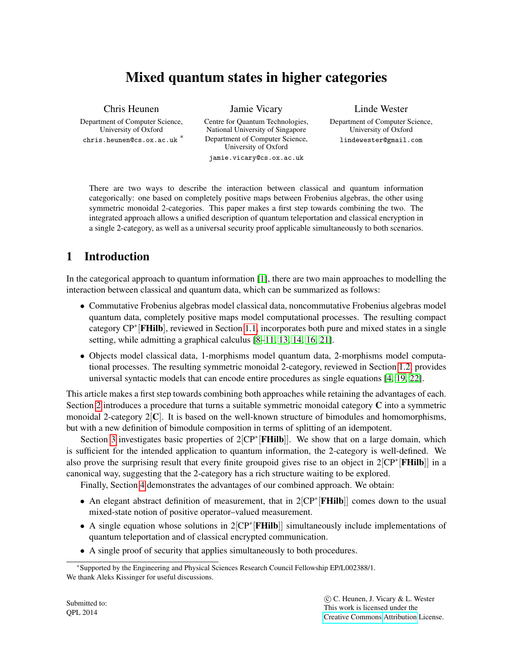# Mixed quantum states in higher categories

Chris Heunen Department of Computer Science, University of Oxford chris.heunen@cs.ox.ac.uk <sup>\*</sup>

Jamie Vicary Centre for Quantum Technologies, National University of Singapore Department of Computer Science, University of Oxford jamie.vicary@cs.ox.ac.uk

Linde Wester Department of Computer Science, University of Oxford lindewester@gmail.com

There are two ways to describe the interaction between classical and quantum information categorically: one based on completely positive maps between Frobenius algebras, the other using symmetric monoidal 2-categories. This paper makes a first step towards combining the two. The integrated approach allows a unified description of quantum teleportation and classical encryption in a single 2-category, as well as a universal security proof applicable simultaneously to both scenarios.

# 1 Introduction

In the categorical approach to quantum information [\[1\]](#page-11-0), there are two main approaches to modelling the interaction between classical and quantum data, which can be summarized as follows:

- Commutative Frobenius algebras model classical data, noncommutative Frobenius algebras model quantum data, completely positive maps model computational processes. The resulting compact category CP<sup>∗</sup>[FHilb], reviewed in Section [1.1,](#page-1-0) incorporates both pure and mixed states in a single setting, while admitting a graphical calculus [\[8](#page-11-1)[–11,](#page-11-2) [13,](#page-11-3) [14,](#page-11-4) [16,](#page-11-5) [21\]](#page-11-6).
- Objects model classical data, 1-morphisms model quantum data, 2-morphisms model computational processes. The resulting symmetric monoidal 2-category, reviewed in Section [1.2,](#page-1-1) provides universal syntactic models that can encode entire procedures as single equations [\[4,](#page-11-7) [19,](#page-11-8) [22\]](#page-11-9).

This article makes a first step towards combining both approaches while retaining the advantages of each. Section [2](#page-2-0) introduces a procedure that turns a suitable symmetric monoidal category C into a symmetric monoidal 2-category  $2[\mathbf{C}]$ . It is based on the well-known structure of bimodules and homomorphisms, but with a new definition of bimodule composition in terms of splitting of an idempotent.

Section [3](#page-6-0) investigates basic properties of 2[CP<sup>\*</sup>[FHilb]]. We show that on a large domain, which is sufficient for the intended application to quantum information, the 2-category is well-defined. We also prove the surprising result that every finite groupoid gives rise to an object in 2[CP<sup>∗</sup>[FHilb]] in a canonical way, suggesting that the 2-category has a rich structure waiting to be explored.

Finally, Section [4](#page-9-0) demonstrates the advantages of our combined approach. We obtain:

- An elegant abstract definition of measurement, that in 2[CP<sup>\*</sup>[FHilb]] comes down to the usual mixed-state notion of positive operator–valued measurement.
- A single equation whose solutions in 2[CP<sup>\*</sup>[FHilb]] simultaneously include implementations of quantum teleportation and of classical encrypted communication.
- A single proof of security that applies simultaneously to both procedures.

<sup>∗</sup>Supported by the Engineering and Physical Sciences Research Council Fellowship EP/L002388/1. We thank Aleks Kissinger for useful discussions.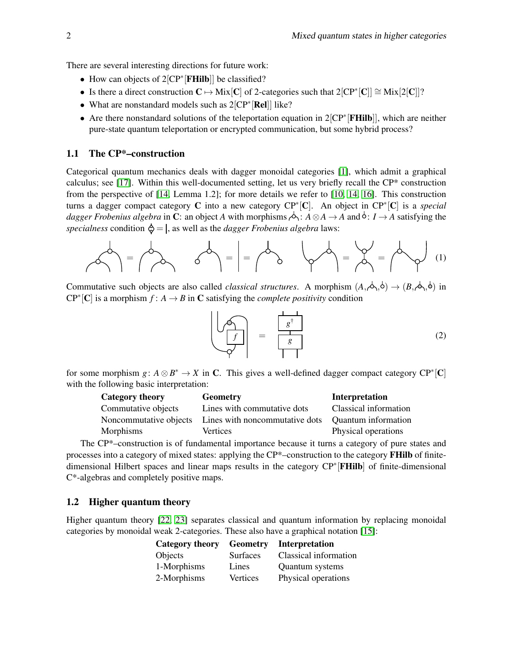There are several interesting directions for future work:

- How can objects of 2[CP<sup>∗</sup> [FHilb]] be classified?
- Is there a direct construction  $C \mapsto \text{Mix}[C]$  of 2-categories such that  $2[CP^*[C]] \cong \text{Mix}[2[C]]$ ?
- What are nonstandard models such as 2[CP<sup>∗</sup> [Rel]] like?
- Are there nonstandard solutions of the teleportation equation in 2[CP<sup>∗</sup> [FHilb]], which are neither pure-state quantum teleportation or encrypted communication, but some hybrid process?

## <span id="page-1-0"></span>1.1 The CP\*–construction

Categorical quantum mechanics deals with dagger monoidal categories [\[1\]](#page-11-0), which admit a graphical calculus; see [\[17\]](#page-11-10). Within this well-documented setting, let us very briefly recall the CP\* construction from the perspective of [\[14,](#page-11-4) Lemma 1.2]; for more details we refer to [\[10,](#page-11-11) [14,](#page-11-4) [16\]](#page-11-5). This construction turns a dagger compact category C into a new category CP<sup>∗</sup> [C]. An object in CP<sup>∗</sup> [C] is a *special dagger Frobenius algebra* in C: an object *A* with morphisms  $\phi$ :  $A \otimes A \to A$  and  $\phi$ :  $I \to A$  satisfying the *specialness* condition  $\hat{\varphi} = I$ , as well as the *dagger Frobenius algebra* laws:

$$
\left\langle \mathcal{A} \right\rangle = \left\langle \mathcal{A} \right\rangle \qquad \left\langle \mathcal{A} \right\rangle = \left\langle \mathcal{A} \right\rangle = \left\langle \mathcal{A} \right\rangle = \left\langle \mathcal{A} \right\rangle = \left\langle \mathcal{A} \right\rangle = \left\langle \mathcal{A} \right\rangle \qquad (1)
$$

Commutative such objects are also called *classical structures*. A morphism  $(A, \phi, \phi) \rightarrow (B, \phi, \phi)$  in  $\mathbb{CP}^*[\mathbb{C}]$  is a morphism  $f: A \to B$  in  $\mathbb{C}$  satisfying the *complete positivity* condition

$$
\left(\begin{array}{c}\n\sqrt{\widehat{f}} \\
\hline\n\sqrt{\widehat{f}}\n\end{array}\right) = \frac{\left(\begin{array}{c}\n\frac{1}{s^{\dagger}} \\
\hline\n\frac{1}{s}\n\end{array}\right)}{\left|\begin{array}{c}\n\frac{1}{s}\n\end{array}\right|} \tag{2}
$$

for some morphism  $g: A \otimes B^* \to X$  in C. This gives a well-defined dagger compact category  $\mathbb{CP}^*[\mathbb{C}]$ with the following basic interpretation:

| Category theory        | <b>Geometry</b>                | <b>Interpretation</b> |
|------------------------|--------------------------------|-----------------------|
| Commutative objects    | Lines with commutative dots    | Classical information |
| Noncommutative objects | Lines with noncommutative dots | Quantum information   |
| Morphisms              | Vertices                       | Physical operations   |

The CP\*–construction is of fundamental importance because it turns a category of pure states and processes into a category of mixed states: applying the CP\*–construction to the category FHilb of finitedimensional Hilbert spaces and linear maps results in the category CP<sup>∗</sup>[FHilb] of finite-dimensional C\*-algebras and completely positive maps.

## <span id="page-1-1"></span>1.2 Higher quantum theory

Higher quantum theory [\[22,](#page-11-9) [23\]](#page-11-12) separates classical and quantum information by replacing monoidal categories by monoidal weak 2-categories. These also have a graphical notation [\[15\]](#page-11-13):

| Category theory | <b>Geometry</b> | Interpretation         |
|-----------------|-----------------|------------------------|
| Objects         | <b>Surfaces</b> | Classical information  |
| 1-Morphisms     | Lines           | <b>Quantum</b> systems |
| 2-Morphisms     | Vertices        | Physical operations    |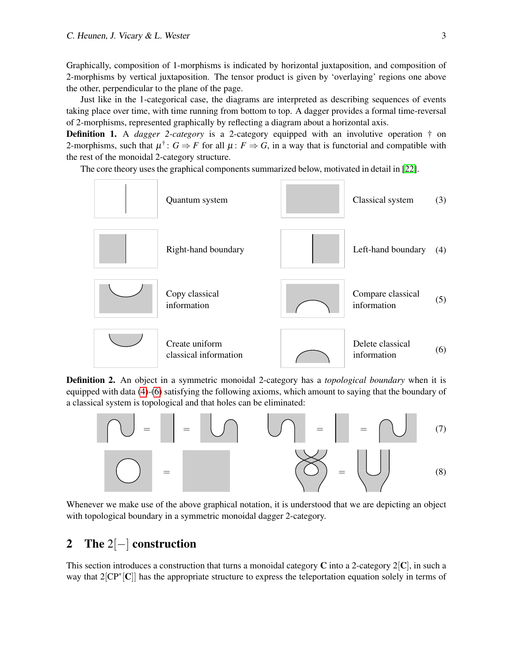Graphically, composition of 1-morphisms is indicated by horizontal juxtaposition, and composition of 2-morphisms by vertical juxtaposition. The tensor product is given by 'overlaying' regions one above the other, perpendicular to the plane of the page.

Just like in the 1-categorical case, the diagrams are interpreted as describing sequences of events taking place over time, with time running from bottom to top. A dagger provides a formal time-reversal of 2-morphisms, represented graphically by reflecting a diagram about a horizontal axis.

Definition 1. A *dagger 2-category* is a 2-category equipped with an involutive operation † on 2-morphisms, such that  $\mu^{\dagger}$ :  $G \Rightarrow F$  for all  $\mu$ :  $F \Rightarrow G$ , in a way that is functorial and compatible with the rest of the monoidal 2-category structure.

The core theory uses the graphical components summarized below, motivated in detail in [\[22\]](#page-11-9).

<span id="page-2-1"></span>

<span id="page-2-3"></span>Definition 2. An object in a symmetric monoidal 2-category has a *topological boundary* when it is equipped with data [\(4\)](#page-2-1)-[\(6\)](#page-2-2) satisfying the following axioms, which amount to saying that the boundary of a classical system is topological and that holes can be eliminated:

<span id="page-2-6"></span><span id="page-2-5"></span><span id="page-2-4"></span><span id="page-2-2"></span>

Whenever we make use of the above graphical notation, it is understood that we are depicting an object with topological boundary in a symmetric monoidal dagger 2-category.

## <span id="page-2-0"></span>2 The 2[−] construction

This section introduces a construction that turns a monoidal category  $\bf{C}$  into a 2-category  $2|\bf{C}|$ , in such a way that 2[CP<sup>∗</sup>[C]] has the appropriate structure to express the teleportation equation solely in terms of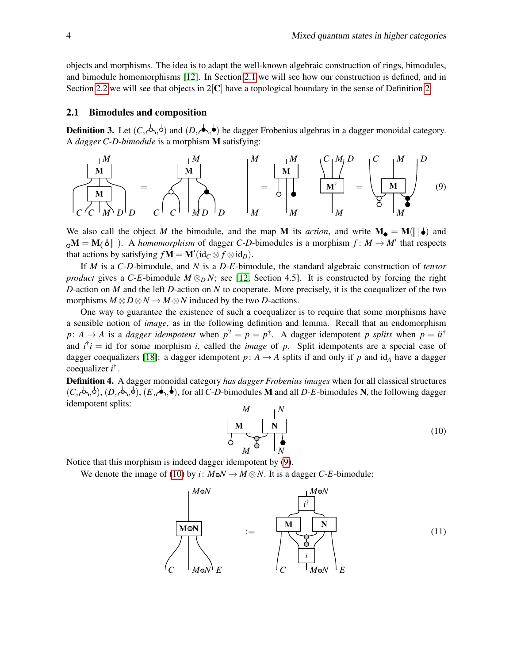objects and morphisms. The idea is to adapt the well-known algebraic construction of rings, bimodules, and bimodule homomorphisms [\[12\]](#page-11-14). In Section [2.1](#page-3-0) we will see how our construction is defined, and in Section [2.2](#page-5-0) we will see that objects in  $2[C]$  have a topological boundary in the sense of Definition [2.](#page-2-3)

#### <span id="page-3-0"></span>2.1 Bimodules and composition

<span id="page-3-1"></span>**Definition 3.** Let  $(C, \phi, \phi)$  and  $(D, \phi, \phi)$  be dagger Frobenius algebras in a dagger monoidal category. A *dagger C-D-bimodule* is a morphism M satisfying:



We also call the object *M* the bimodule, and the map **M** its *action*, and write  $M_{\bullet} = M(||\cdot|)$  and  $M = M(\delta||)$ . A *homomorphism* of dagger *C-D*-bimodules is a morphism  $f : M \to M'$  that respects that actions by satisfying  $f\mathbf{M} = \mathbf{M}'(\mathrm{id}_C \otimes f \otimes \mathrm{id}_D)$ .

If *M* is a *C*-*D*-bimodule, and *N* is a *D*-*E*-bimodule, the standard algebraic construction of *tensor product* gives a *C-E*-bimodule  $M \otimes_D N$ ; see [\[12,](#page-11-14) Section 4.5]. It is constructed by forcing the right *D*-action on *M* and the left *D*-action on *N* to cooperate. More precisely, it is the coequalizer of the two morphisms  $M \otimes D \otimes N \to M \otimes N$  induced by the two *D*-actions.

One way to guarantee the existence of such a coequalizer is to require that some morphisms have a sensible notion of *image*, as in the following definition and lemma. Recall that an endomorphism *p*: *A*  $\rightarrow$  *A* is a *dagger idempotent* when  $p^2 = p = p^{\dagger}$ . A dagger idempotent *p splits* when  $p = i i^{\dagger}$ and  $i^{\dagger}i =$  id for some morphism *i*, called the *image* of *p*. Split idempotents are a special case of dagger coequalizers [\[18\]](#page-11-15): a dagger idempotent  $p: A \rightarrow A$  splits if and only if p and id<sub>A</sub> have a dagger coequalizer *i* † .

<span id="page-3-2"></span>Definition 4. A dagger monoidal category *has dagger Frobenius images* when for all classical structures  $(C, \phi, \phi), (D, \phi, \phi), (E, \phi, \phi)$ , for all *C*-*D*-bimodules **M** and all *D*-*E*-bimodules **N**, the following dagger idempotent splits:

<span id="page-3-3"></span>
$$
\begin{array}{c|c|c}\n & M & N \\
\hline\n\text{M} & \text{N} \\
\hline\n\downarrow & \text{N} \\
\hline\n\downarrow & \text{N}\n\end{array} \tag{10}
$$

Notice that this morphism is indeed dagger idempotent by [\(9\)](#page-3-1).

<span id="page-3-4"></span>We denote the image of [\(10\)](#page-3-2) by *i*:  $M \circ N \to M \otimes N$ . It is a dagger *C*-*E*-bimodule:

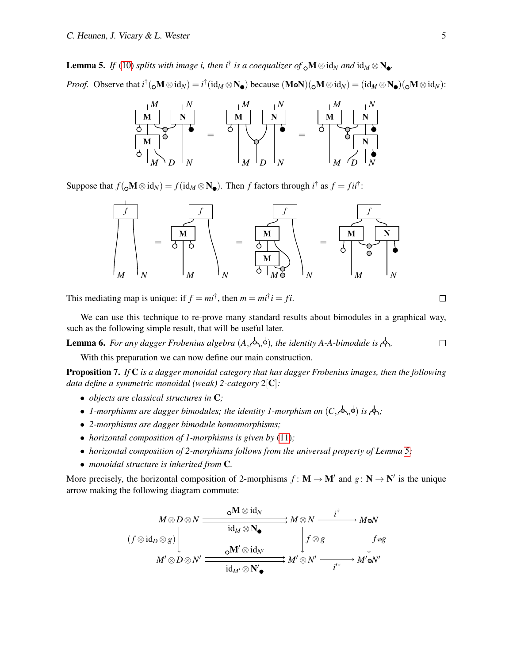**Lemma 5.** If [\(10\)](#page-3-2) splits with image i, then i<sup>†</sup> is a coequalizer of  $_{Q}M \otimes id_{N}$  and  $id_{M} \otimes N_{Q}$ .

*Proof.* Observe that  $i^{\dagger}$  ( ${}_0{\bf M} \otimes id_N$ ) =  $i^{\dagger}$  ( $id_M \otimes {\bf N}_\bullet$ ) because ( ${\bf M} \circ {\bf N}$ )( ${}_0{\bf M} \otimes id_N$ ) = ( $id_M \otimes {\bf N}_\bullet$ )( ${}_0{\bf M} \otimes id_N$ ):



Suppose that  $f(\_math{\mathbf{M}} \otimes id_N) = f(id_M \otimes \mathbf{N}_{\bullet})$ . Then *f* factors through  $i^{\dagger}$  as  $f = fii^{\dagger}$ :



This mediating map is unique: if  $f = mi^{\dagger}$ , then  $m = mi^{\dagger}i = fi$ .

We can use this technique to re-prove many standard results about bimodules in a graphical way, such as the following simple result, that will be useful later.

<span id="page-4-0"></span>**Lemma 6.** For any dagger Frobenius algebra  $(A, \phi, \phi)$ , the identity A-A-bimodule is  $\phi$ .  $\Box$ 

With this preparation we can now define our main construction.

<span id="page-4-1"></span>Proposition 7. *If* C *is a dagger monoidal category that has dagger Frobenius images, then the following data define a symmetric monoidal (weak) 2-category* 2[C]*:*

- *objects are classical structures in* C*;*
- *1-morphisms are dagger bimodules; the identity 1-morphism on*  $(C, \phi, \phi)$  *is*  $\phi$ *;*
- *2-morphisms are dagger bimodule homomorphisms;*
- *horizontal composition of 1-morphisms is given by* [\(11\)](#page-3-3)*;*
- *horizontal composition of 2-morphisms follows from the universal property of Lemma [5;](#page-3-4)*
- *monoidal structure is inherited from* C*.*

More precisely, the horizontal composition of 2-morphisms  $f: M \to M'$  and  $g: N \to N'$  is the unique arrow making the following diagram commute:

$$
(f \otimes id_D \otimes g) \qquad \qquad \frac{\circ M \otimes id_N}{id_M \otimes N_{\bullet}} \qquad M \otimes N \longrightarrow M \circ N
$$
\n
$$
(f \otimes id_D \otimes g) \qquad \qquad \downarrow \qquad \downarrow \qquad \downarrow \qquad \downarrow \qquad \downarrow \qquad \downarrow \qquad \downarrow \qquad \downarrow \qquad \downarrow \qquad \downarrow \qquad \downarrow \qquad \downarrow \qquad \downarrow \qquad \downarrow \qquad \downarrow \qquad \downarrow \qquad \downarrow \qquad \downarrow \qquad \downarrow \qquad \downarrow \qquad \downarrow \qquad \downarrow \qquad \downarrow \qquad \downarrow \qquad \downarrow \qquad \downarrow \qquad \downarrow \qquad \downarrow \qquad \downarrow \qquad \downarrow \qquad \downarrow \qquad \downarrow \qquad \downarrow \qquad \downarrow \qquad \downarrow \qquad \downarrow \qquad \downarrow \qquad \downarrow \qquad \downarrow \qquad \downarrow \qquad \downarrow \qquad \downarrow \qquad \downarrow \qquad \downarrow \qquad \downarrow \qquad \downarrow \qquad \downarrow \qquad \downarrow \qquad \downarrow \qquad \downarrow \qquad \downarrow \qquad \downarrow \qquad \downarrow \qquad \downarrow \qquad \downarrow \qquad \downarrow \qquad \downarrow \qquad \downarrow \qquad \downarrow \qquad \downarrow \qquad \downarrow \qquad \downarrow \qquad \downarrow \qquad \downarrow \qquad \downarrow \qquad \downarrow \qquad \downarrow \qquad \downarrow \qquad \downarrow \qquad \downarrow \qquad \downarrow \qquad \downarrow \qquad \downarrow \qquad \downarrow \qquad \downarrow \qquad \downarrow \qquad \downarrow \qquad \downarrow \qquad \downarrow \qquad \downarrow \qquad \downarrow \qquad \downarrow \qquad \downarrow \qquad \downarrow \qquad \downarrow \qquad \downarrow \qquad \downarrow \qquad \downarrow \qquad \downarrow \qquad \downarrow \qquad \downarrow \qquad \downarrow \qquad \downarrow \qquad \downarrow \qquad \downarrow \qquad \downarrow \qquad \downarrow \qquad \downarrow \qquad \downarrow \qquad \downarrow \qquad \downarrow \qquad \downarrow \qquad \downarrow \qquad \downarrow \qquad \downarrow \qquad \downarrow \qquad \downarrow \qquad \downarrow \qquad \downarrow \qquad \downarrow \qquad \downarrow \qquad \downarrow \qquad \downarrow \qquad \down
$$

 $\Box$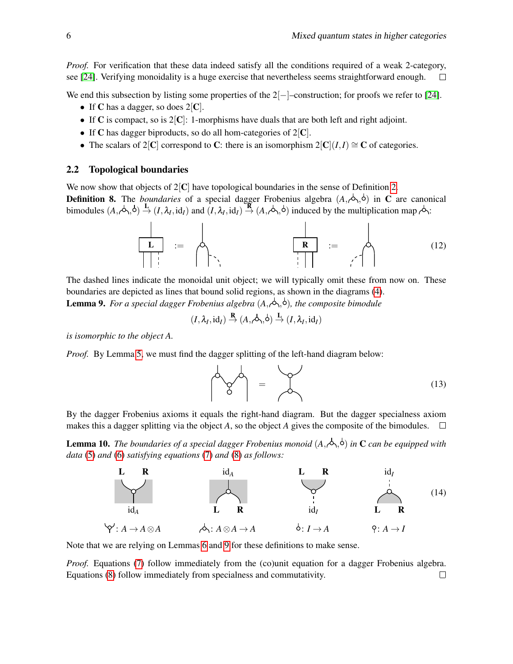*Proof.* For verification that these data indeed satisfy all the conditions required of a weak 2-category, see [\[24\]](#page-11-16). Verifying monoidality is a huge exercise that nevertheless seems straightforward enough.  $\Box$ 

We end this subsection by listing some properties of the  $2[-]$ –construction; for proofs we refer to [\[24\]](#page-11-16).

- If C has a dagger, so does  $2|C|$ .
- If C is compact, so is  $2|C|$ : 1-morphisms have duals that are both left and right adjoint.
- If C has dagger biproducts, so do all hom-categories of  $2|C|$ .
- The scalars of 2[C] correspond to C: there is an isomorphism  $2[C|(I,I) \cong C$  of categories.

#### <span id="page-5-0"></span>2.2 Topological boundaries

We now show that objects of  $2[C]$  have topological boundaries in the sense of Definition [2.](#page-2-3)

**Definition 8.** The *boundaries* of a special dagger Frobenius algebra  $(A, \phi, \phi)$  in C are canonical bimodules  $(A, \phi, \phi) \stackrel{\mathbf{L}}{\rightarrow} (I, \lambda_I, id_I)$  and  $(I, \lambda_I, id_I) \stackrel{\mathbf{R}}{\rightarrow} (A, \phi, \phi)$  induced by the multiplication map  $\phi$ .

$$
\begin{array}{|c|c|c|c|c|}\n\hline\nL & \vdots & \mathbb{R} & \mathbb{R} \\
\hline\n\end{array} \qquad \qquad \begin{array}{|c|c|c|c|}\n\hline\nR & \mathbb{R} & \mathbb{R} \\
\hline\n\end{array} \qquad \qquad \begin{array}{|c|c|c|}\n\hline\n\end{array} \qquad (12)
$$

The dashed lines indicate the monoidal unit object; we will typically omit these from now on. These boundaries are depicted as lines that bound solid regions, as shown in the diagrams [\(4\)](#page-2-1).

<span id="page-5-1"></span>**Lemma 9.** For a special dagger Frobenius algebra  $(A, \phi, \phi)$ , the composite bimodule

$$
(I, \lambda_I, id_I) \stackrel{\mathbf{R}}{\rightarrow} (A, \rightsquigarrow, \circ) \stackrel{\mathbf{L}}{\rightarrow} (I, \lambda_I, id_I)
$$

*is isomorphic to the object A.*

*Proof.* By Lemma [5,](#page-3-4) we must find the dagger splitting of the left-hand diagram below:

$$
\begin{pmatrix} 1 & 1 \\ 1 & 1 \end{pmatrix} = \begin{pmatrix} 1 & 1 \end{pmatrix} = \begin{pmatrix} 1 & 1 \end{pmatrix}
$$

By the dagger Frobenius axioms it equals the right-hand diagram. But the dagger specialness axiom makes this a dagger splitting via the object A, so the object A gives the composite of the bimodules.  $\square$ 

Lemma 10. *The boundaries of a special dagger Frobenius monoid* (*A*, , ) *in* C *can be equipped with data* [\(5\)](#page-2-4) *and* [\(6\)](#page-2-2) *satisfying equations* [\(7\)](#page-2-5) *and* [\(8\)](#page-2-6) *as follows:*



Note that we are relying on Lemmas [6](#page-4-0) and [9](#page-5-1) for these definitions to make sense.

*Proof.* Equations [\(7\)](#page-2-5) follow immediately from the (co)unit equation for a dagger Frobenius algebra. Equations [\(8\)](#page-2-6) follow immediately from specialness and commutativity. $\Box$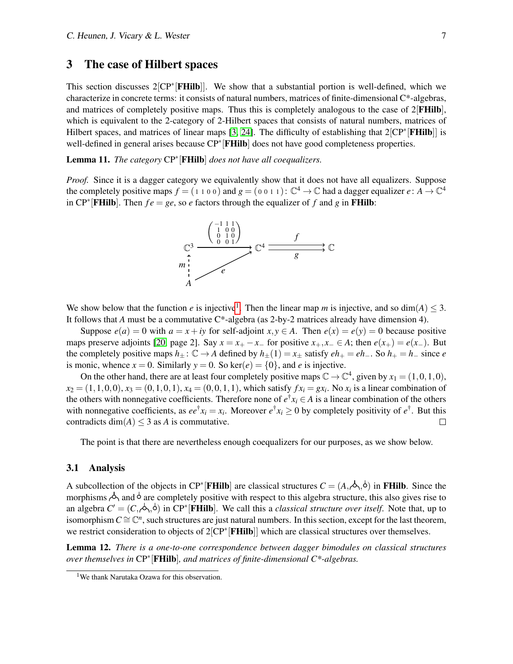## <span id="page-6-0"></span>3 The case of Hilbert spaces

This section discusses 2[CP<sup>∗</sup>[FHilb]]. We show that a substantial portion is well-defined, which we characterize in concrete terms: it consists of natural numbers, matrices of finite-dimensional C\*-algebras, and matrices of completely positive maps. Thus this is completely analogous to the case of 2[**FHilb**], which is equivalent to the 2-category of 2-Hilbert spaces that consists of natural numbers, matrices of Hilbert spaces, and matrices of linear maps [\[3,](#page-11-17) [24\]](#page-11-16). The difficulty of establishing that 2[CP<sup>∗</sup>[FHilb]] is well-defined in general arises because CP<sup>∗</sup>[FHilb] does not have good completeness properties.

Lemma 11. *The category* CP<sup>∗</sup> [FHilb] *does not have all coequalizers.*

*Proof.* Since it is a dagger category we equivalently show that it does not have all equalizers. Suppose the completely positive maps  $f = (1 1 0 0)$  and  $g = (0 0 1 1)$ :  $\mathbb{C}^4 \to \mathbb{C}$  had a dagger equalizer  $e : A \to \mathbb{C}^4$ in  $\mathbb{CP}^*$  **[FHilb**]. Then  $fe = ge$ , so *e* factors through the equalizer of *f* and *g* in **FHilb**:



We show below that the function *e* is injective<sup>[1](#page-6-1)</sup>. Then the linear map *m* is injective, and so  $dim(A) \leq 3$ . It follows that *A* must be a commutative  $C^*$ -algebra (as 2-by-2 matrices already have dimension 4).

Suppose  $e(a) = 0$  with  $a = x + iy$  for self-adjoint  $x, y \in A$ . Then  $e(x) = e(y) = 0$  because positive maps preserve adjoints [\[20,](#page-11-18) page 2]. Say  $x = x_+ - x_-$  for positive  $x_+, x_- \in A$ ; then  $e(x_+) = e(x_-)$ . But the completely positive maps  $h_{\pm}$ :  $\mathbb{C} \to A$  defined by  $h_{\pm}(1) = x_{\pm}$  satisfy  $eh_{+} = eh_{-}$ . So  $h_{+} = h_{-}$  since *e* is monic, whence  $x = 0$ . Similarly  $y = 0$ . So ker( $e$ ) = {0}, and *e* is injective.

On the other hand, there are at least four completely positive maps  $\mathbb{C} \to \mathbb{C}^4$ , given by  $x_1 = (1,0,1,0)$ ,  $x_2 = (1, 1, 0, 0), x_3 = (0, 1, 0, 1), x_4 = (0, 0, 1, 1)$ , which satisfy  $fx_i = gx_i$ . No  $x_i$  is a linear combination of the others with nonnegative coefficients. Therefore none of  $e^{\dagger}x_i \in A$  is a linear combination of the others with nonnegative coefficients, as  $ee^{\dagger}x_i = x_i$ . Moreover  $e^{\dagger}x_i \ge 0$  by completely positivity of  $e^{\dagger}$ . But this contradicts dim( $A$ )  $\leq$  3 as  $A$  is commutative.  $\Box$ 

The point is that there are nevertheless enough coequalizers for our purposes, as we show below.

#### 3.1 Analysis

A subcollection of the objects in CP<sup>∗</sup>[FHilb] are classical structures  $C = (A, \phi, \phi)$  in FHilb. Since the morphisms  $\phi_1$  and  $\phi$  are completely positive with respect to this algebra structure, this also gives rise to an algebra  $C' = (C, \stackrel{\perp}{\diamond} \phi, \stackrel{\perp}{\diamond})$  in CP<sup>\*</sup> [FHilb]. We call this a *classical structure over itself*. Note that, up to isomorphism  $C \cong \mathbb{C}^n$ , such structures are just natural numbers. In this section, except for the last theorem, we restrict consideration to objects of 2[CP<sup>\*</sup>[FHilb]] which are classical structures over themselves.

<span id="page-6-2"></span>Lemma 12. *There is a one-to-one correspondence between dagger bimodules on classical structures over themselves in* CP<sup>∗</sup> [FHilb]*, and matrices of finite-dimensional C\*-algebras.*

<span id="page-6-1"></span><sup>&</sup>lt;sup>1</sup>We thank Narutaka Ozawa for this observation.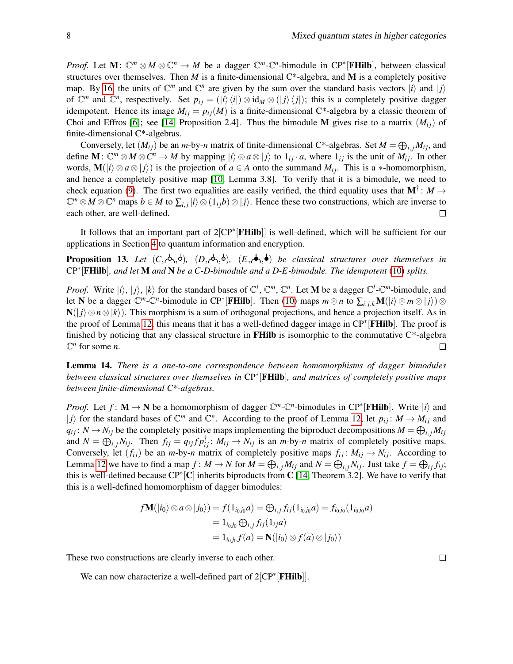*Proof.* Let  $M: \mathbb{C}^m \otimes M \otimes \mathbb{C}^n \to M$  be a dagger  $\mathbb{C}^m$ - $\mathbb{C}^n$ -bimodule in  $\mathbb{CP}^*$  [**FHilb**], between classical structures over themselves. Then  $M$  is a finite-dimensional  $C^*$ -algebra, and  $M$  is a completely positive map. By [16,](#page-8-0) the units of  $\mathbb{C}^m$  and  $\mathbb{C}^n$  are given by the sum over the standard basis vectors  $|i\rangle$  and  $|j\rangle$ of  $\mathbb{C}^m$  and  $\mathbb{C}^n$ , respectively. Set  $p_{ij} = (|i\rangle\langle i|) \otimes id_M \otimes (|j\rangle\langle j|)$ ; this is a completely positive dagger idempotent. Hence its image  $M_{ij} = p_{ij}(M)$  is a finite-dimensional C\*-algebra by a classic theorem of Choi and Effros [\[6\]](#page-11-19); see [\[14,](#page-11-4) Proposition 2.4]. Thus the bimodule M gives rise to a matrix  $(M_{ii})$  of finite-dimensional C\*-algebras.

Conversely, let  $(M_{ij})$  be an *m*-by-*n* matrix of finite-dimensional C\*-algebras. Set  $M = \bigoplus_{i,j} M_{ij}$ , and define  $\mathbf{M}: \mathbb{C}^m \otimes M \otimes \mathbb{C}^n \to M$  by mapping  $|i\rangle \otimes a \otimes |j\rangle$  to  $1_{ij} \cdot a$ , where  $1_{ij}$  is the unit of  $M_{ij}$ . In other words,  $\mathbf{M}(|i\rangle \otimes a \otimes |j\rangle)$  is the projection of  $a \in A$  onto the summand  $M_{ij}$ . This is a ∗-homomorphism, and hence a completely positive map [\[10,](#page-11-11) Lemma 3.8]. To verify that it is a bimodule, we need to check equation [\(9\)](#page-3-1). The first two equalities are easily verified, the third equality uses that  $M^{\dagger}$ :  $M \rightarrow$  $\mathbb{C}^m \otimes M \otimes \mathbb{C}^n$  maps  $b \in M$  to  $\sum_{i,j} |i\rangle \otimes (1_{ij}b) \otimes |j\rangle$ . Hence these two constructions, which are inverse to each other, are well-defined.  $\Box$ 

It follows that an important part of 2<sup>[</sup>CP<sup>\*</sup><sup>[</sup>**FHilb**]] is well-defined, which will be sufficient for our applications in Section [4](#page-9-0) to quantum information and encryption.

**Proposition 13.** Let  $(C, \phi, \phi)$ ,  $(D, \phi, \phi)$ ,  $(E, \phi, \phi)$  be classical structures over themselves in CP<sup>∗</sup> [FHilb]*, and let* M *and* N *be a C-D-bimodule and a D-E-bimodule. The idempotent* [\(10\)](#page-3-2) *splits.*

*Proof.* Write  $|i\rangle$ ,  $|j\rangle$ ,  $|k\rangle$  for the standard bases of  $\mathbb{C}^l$ ,  $\mathbb{C}^m$ ,  $\mathbb{C}^n$ . Let **M** be a dagger  $\mathbb{C}^l$ - $\mathbb{C}^m$ -bimodule, and let N be a dagger  $\mathbb{C}^m$ - $\mathbb{C}^n$ -bimodule in CP<sup>\*</sup>[FHilb]. Then [\(10\)](#page-3-2) maps  $m \otimes n$  to  $\sum_{i,j,k} \mathbf{M}(|i\rangle \otimes m \otimes |j\rangle) \otimes$ N(|*j*)⊗*n*⊗|*k*). This morphism is a sum of orthogonal projections, and hence a projection itself. As in the proof of Lemma [12,](#page-6-2) this means that it has a well-defined dagger image in CP<sup>∗</sup> [FHilb]. The proof is finished by noticing that any classical structure in **FHilb** is isomorphic to the commutative  $C^*$ -algebra  $\mathbb{C}^n$  for some *n*. П

<span id="page-7-0"></span>Lemma 14. *There is a one-to-one correspondence between homomorphisms of dagger bimodules between classical structures over themselves in* CP<sup>∗</sup> [FHilb]*, and matrices of completely positive maps between finite-dimensional C\*-algebras.*

*Proof.* Let  $f: M \to N$  be a homomorphism of dagger  $\mathbb{C}^m$ - $\mathbb{C}^n$ -bimodules in CP<sup>∗</sup>[FHilb]. Write  $|i\rangle$  and  $|j\rangle$  for the standard bases of  $\mathbb{C}^m$  and  $\mathbb{C}^n$ . According to the proof of Lemma [12,](#page-6-2) let  $p_{ij} : M \to M_{ij}$  and  $q_{ij}$ :  $N \rightarrow N_{ij}$  be the completely positive maps implementing the biproduct decompositions  $M = \bigoplus_{i,j} M_{ij}$ and  $N = \bigoplus_{i,j} N_{ij}$ . Then  $f_{ij} = q_{ij} f p_{ij}^{\dagger}$ :  $M_{ij} \rightarrow N_{ij}$  is an *m*-by-*n* matrix of completely positive maps. Conversely, let  $(f_{ij})$  be an *m*-by-*n* matrix of completely positive maps  $f_{ij} : M_{ij} \to N_{ij}$ . According to Lemma [12](#page-6-2) we have to find a map  $f: M \to N$  for  $M = \bigoplus_{i,j} M_{ij}$  and  $N = \bigoplus_{i,j} N_{ij}$ . Just take  $f = \bigoplus_{ij} f_{ij}$ ; this is well-defined because  $\text{CP}^*[\mathbf{C}]$  inherits biproducts from  $\mathbf{C}$  [\[14,](#page-11-4) Theorem 3.2]. We have to verify that this is a well-defined homomorphism of dagger bimodules:

$$
f\mathbf{M}(|i_0\rangle \otimes a \otimes |j_0\rangle) = f(1_{i_0j_0}a) = \bigoplus_{i,j} f_{ij}(1_{i_0j_0}a) = f_{i_0j_0}(1_{i_0j_0}a)
$$
  
=  $1_{i_0j_0} \bigoplus_{i,j} f_{ij}(1_{ij}a)$   
=  $1_{i_0j_0}f(a) = \mathbf{N}(|i_0\rangle \otimes f(a) \otimes |j_0\rangle)$ 

These two constructions are clearly inverse to each other.

<span id="page-7-1"></span>We can now characterize a well-defined part of  $2[CP^*[\mathbf{FHilb}]]$ .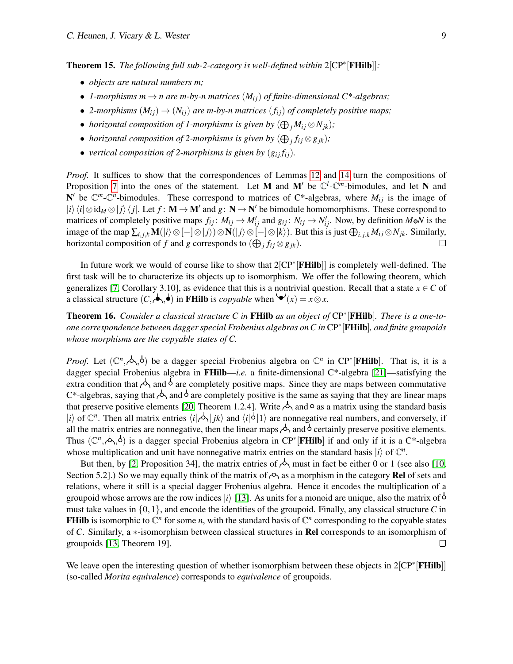Theorem 15. *The following full sub-2-category is well-defined within* 2[CP<sup>∗</sup> [FHilb]]*:*

- *objects are natural numbers m;*
- *1-morphisms m*  $\rightarrow$  *n are m-by-n matrices*  $(M_{ij})$  *of finite-dimensional*  $C^*$ -algebras;
- 2-morphisms  $(M_{ij}) \rightarrow (N_{ij})$  are m-by-n matrices  $(f_{ij})$  of completely positive maps;
- *horizontal composition of 1-morphisms is given by*  $(\bigoplus_j M_{ij} \otimes N_{jk})$ ;
- *horizontal composition of 2-morphisms is given by*  $(\bigoplus_j f_{ij} \otimes g_{jk})$ ;
- *vertical composition of 2-morphisms is given by*  $(g_{ij} f_{ij})$ *.*

*Proof.* It suffices to show that the correspondences of Lemmas [12](#page-6-2) and [14](#page-7-0) turn the compositions of Proposition [7](#page-4-1) into the ones of the statement. Let M and M' be  $\mathbb{C}^l$ - $\mathbb{C}^m$ -bimodules, and let N and N' be  $\mathbb{C}^m$ - $\mathbb{C}^n$ -bimodules. These correspond to matrices of C\*-algebras, where  $M_{ij}$  is the image of  $|i\rangle\langle i|\otimes id_M\otimes|j\rangle\langle j|$ . Let  $f: \mathbf{M} \to \mathbf{M}'$  and  $g: \mathbf{N} \to \mathbf{N}'$  be bimodule homomorphisms. These correspond to matrices of completely positive maps  $f_{ij}$ :  $M_{ij} \to M'_{ij}$  and  $g_{ij}$ :  $N_{ij} \to N'_{ij}$ . Now, by definition  $M \circ N$  is the image of the map  $\sum_{i,j,k} \mathbf{M}(i) \otimes [-]\otimes |j\rangle) \otimes \mathbf{N}(|j\rangle \otimes [-]\otimes |k\rangle)$ . But this is just  $\bigoplus_{i,j,k} M_{ij} \otimes N_{jk}$ . Similarly, horizontal composition of *f* and *g* corresponds to  $(\bigoplus_j f_{ij} \otimes g_{jk})$ .  $\Box$ 

In future work we would of course like to show that 2[CP<sup>∗</sup>[FHilb]] is completely well-defined. The first task will be to characterize its objects up to isomorphism. We offer the following theorem, which generalizes [\[7,](#page-11-20) Corollary 3.10], as evidence that this is a nontrivial question. Recall that a state  $x \in C$  of a classical structure  $(C, \bigtriangleup, \bigtriangleup)$  in **FHilb** is *copyable* when  $\bigvee (x) = x \otimes x$ .

<span id="page-8-0"></span>Theorem 16. *Consider a classical structure C in* FHilb *as an object of* CP<sup>∗</sup> [FHilb]*. There is a one-toone correspondence between dagger special Frobenius algebras on C in* CP<sup>∗</sup> [FHilb]*, and finite groupoids whose morphisms are the copyable states of C.*

*Proof.* Let  $(\mathbb{C}^n,\phi,\phi)$  be a dagger special Frobenius algebra on  $\mathbb{C}^n$  in CP<sup>\*</sup> [FHilb]. That is, it is a dagger special Frobenius algebra in FHilb—*i.e.* a finite-dimensional C\*-algebra [\[21\]](#page-11-6)—satisfying the extra condition that  $\phi_0$  and  $\overline{0}$  are completely positive maps. Since they are maps between commutative C\*-algebras, saying that  $\phi_1$  and  $\phi$  are completely positive is the same as saying that they are linear maps that preserve positive elements [\[20,](#page-11-18) Theorem 1.2.4]. Write  $\phi_1$  and  $\phi$  as a matrix using the standard basis  $|i\rangle$  of  $\mathbb{C}^n$ . Then all matrix entries  $\langle i|\hat{\phi}|jk\rangle$  and  $\langle i|\hat{\phi}|1\rangle$  are nonnegative real numbers, and conversely, if all the matrix entries are nonnegative, then the linear maps  $\phi_0$  and  $\phi$  certainly preserve positive elements. Thus  $(\mathbb{C}^n,\phi,\phi)$  is a dagger special Frobenius algebra in CP<sup>\*</sup>[FHilb] if and only if it is a C<sup>\*</sup>-algebra whose multiplication and unit have nonnegative matrix entries on the standard basis  $|i\rangle$  of  $\mathbb{C}^n$ .

But then, by [\[2,](#page-11-21) Proposition 34], the matrix entries of  $\Diamond$  must in fact be either 0 or 1 (see also [\[10,](#page-11-11) Section 5.2].) So we may equally think of the matrix of  $\Diamond$  as a morphism in the category **Rel** of sets and relations, where it still is a special dagger Frobenius algebra. Hence it encodes the multiplication of a groupoid whose arrows are the row indices  $|i\rangle$  [\[13\]](#page-11-3). As units for a monoid are unique, also the matrix of  $\circ$ must take values in {0,1}, and encode the identities of the groupoid. Finally, any classical structure *C* in **FHilb** is isomorphic to  $\mathbb{C}^n$  for some *n*, with the standard basis of  $\mathbb{C}^n$  corresponding to the copyable states of *C*. Similarly, a ∗-isomorphism between classical structures in Rel corresponds to an isomorphism of groupoids [\[13,](#page-11-3) Theorem 19].  $\Box$ 

We leave open the interesting question of whether isomorphism between these objects in 2[CP<sup>\*</sup>[FHilb]] (so-called *Morita equivalence*) corresponds to *equivalence* of groupoids.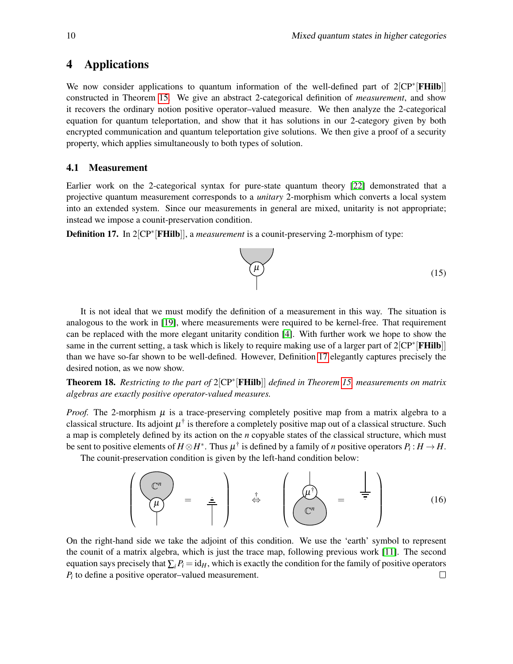## <span id="page-9-0"></span>4 Applications

We now consider applications to quantum information of the well-defined part of 2[CP<sup>\*</sup>[FHilb]] constructed in Theorem [15.](#page-7-1) We give an abstract 2-categorical definition of *measurement*, and show it recovers the ordinary notion positive operator–valued measure. We then analyze the 2-categorical equation for quantum teleportation, and show that it has solutions in our 2-category given by both encrypted communication and quantum teleportation give solutions. We then give a proof of a security property, which applies simultaneously to both types of solution.

### 4.1 Measurement

Earlier work on the 2-categorical syntax for pure-state quantum theory [\[22\]](#page-11-9) demonstrated that a projective quantum measurement corresponds to a *unitary* 2-morphism which converts a local system into an extended system. Since our measurements in general are mixed, unitarity is not appropriate; instead we impose a counit-preservation condition.

<span id="page-9-1"></span>**Definition 17.** In 2[CP<sup>∗</sup>[FHilb]], a *measurement* is a counit-preserving 2-morphism of type:



It is not ideal that we must modify the definition of a measurement in this way. The situation is analogous to the work in [\[19\]](#page-11-8), where measurements were required to be kernel-free. That requirement can be replaced with the more elegant unitarity condition [\[4\]](#page-11-7). With further work we hope to show the same in the current setting, a task which is likely to require making use of a larger part of 2[CP<sup>\*</sup>[FHilb]] than we have so-far shown to be well-defined. However, Definition [17](#page-9-1) elegantly captures precisely the desired notion, as we now show.

Theorem 18. *Restricting to the part of* 2[CP<sup>∗</sup> [FHilb]] *defined in Theorem [15,](#page-7-1) measurements on matrix algebras are exactly positive operator-valued measures.*

*Proof.* The 2-morphism  $\mu$  is a trace-preserving completely positive map from a matrix algebra to a classical structure. Its adjoint  $\mu^{\dagger}$  is therefore a completely positive map out of a classical structure. Such a map is completely defined by its action on the *n* copyable states of the classical structure, which must be sent to positive elements of  $H \otimes H^*$ . Thus  $\mu^{\dagger}$  is defined by a family of *n* positive operators  $P_i : H \to H$ .

The counit-preservation condition is given by the left-hand condition below:

$$
\left(\begin{array}{cc} \mathbb{C}^n \\ \overline{\mu} \end{array}\right) = \frac{1}{\pi} \right) \qquad \stackrel{\dagger}{\Leftrightarrow} \qquad \left(\begin{array}{cc} \overline{\mu} \\ \overline{\mu} \end{array}\right) = \frac{1}{\pi} \qquad (16)
$$

On the right-hand side we take the adjoint of this condition. We use the 'earth' symbol to represent the counit of a matrix algebra, which is just the trace map, following previous work [\[11\]](#page-11-2). The second equation says precisely that  $\sum_i P_i = id_H$ , which is exactly the condition for the family of positive operators *Pi* to define a positive operator–valued measurement. $\Box$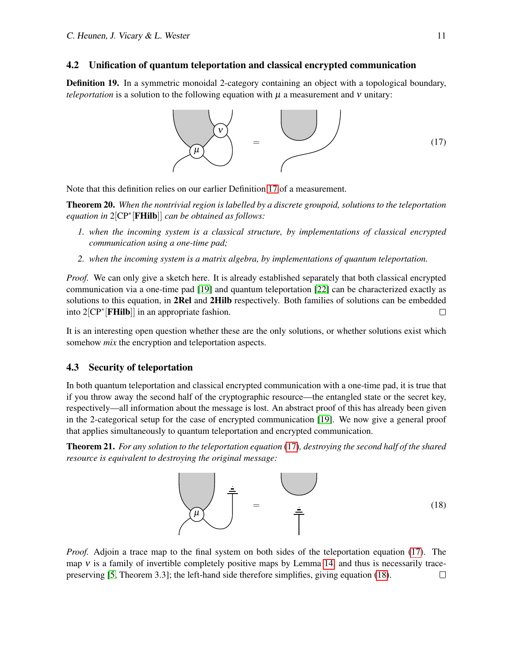### 4.2 Unification of quantum teleportation and classical encrypted communication

Definition 19. In a symmetric monoidal 2-category containing an object with a topological boundary, *teleportation* is a solution to the following equation with  $\mu$  a measurement and  $\nu$  unitary:

<span id="page-10-0"></span>

Note that this definition relies on our earlier Definition [17](#page-9-1) of a measurement.

Theorem 20. *When the nontrivial region is labelled by a discrete groupoid, solutions to the teleportation equation in* 2[CP<sup>∗</sup> [FHilb]] *can be obtained as follows:*

- *1. when the incoming system is a classical structure, by implementations of classical encrypted communication using a one-time pad;*
- *2. when the incoming system is a matrix algebra, by implementations of quantum teleportation.*

*Proof.* We can only give a sketch here. It is already established separately that both classical encrypted communication via a one-time pad [\[19\]](#page-11-8) and quantum teleportation [\[22\]](#page-11-9) can be characterized exactly as solutions to this equation, in **2Rel** and **2Hilb** respectively. Both families of solutions can be embedded into 2<sup>[</sup>CP<sup>∗</sup>[**FHilb**]] in an appropriate fashion.

It is an interesting open question whether these are the only solutions, or whether solutions exist which somehow *mix* the encryption and teleportation aspects.

#### 4.3 Security of teleportation

In both quantum teleportation and classical encrypted communication with a one-time pad, it is true that if you throw away the second half of the cryptographic resource—the entangled state or the secret key, respectively—all information about the message is lost. An abstract proof of this has already been given in the 2-categorical setup for the case of encrypted communication [\[19\]](#page-11-8). We now give a general proof that applies simultaneously to quantum teleportation and encrypted communication.

Theorem 21. *For any solution to the teleportation equation* [\(17\)](#page-10-0)*, destroying the second half of the shared resource is equivalent to destroying the original message:*

<span id="page-10-1"></span>

*Proof.* Adjoin a trace map to the final system on both sides of the teleportation equation [\(17\)](#page-10-0). The map  $\nu$  is a family of invertible completely positive maps by Lemma [14,](#page-7-0) and thus is necessarily tracepreserving [\[5,](#page-11-22) Theorem 3.3]; the left-hand side therefore simplifies, giving equation [\(18\)](#page-10-1). $\Box$